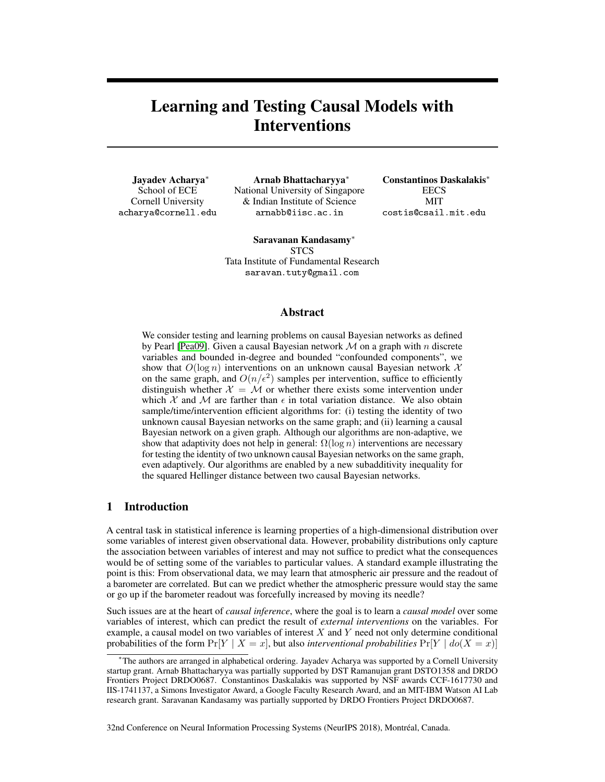# Learning and Testing Causal Models with Interventions

Jayadev Acharya<sup>∗</sup> School of ECE Cornell University acharya@cornell.edu

Arnab Bhattacharyya<sup>∗</sup> National University of Singapore & Indian Institute of Science arnabb@iisc.ac.in

Constantinos Daskalakis<sup>∗</sup> **EECS** MIT costis@csail.mit.edu

Saravanan Kandasamy<sup>∗</sup> **STCS** Tata Institute of Fundamental Research saravan.tuty@gmail.com

### Abstract

We consider testing and learning problems on causal Bayesian networks as defined by Pearl [Pea09]. Given a causal Bayesian network  $M$  on a graph with n discrete variables and bounded in-degree and bounded "confounded components", we show that  $O(\log n)$  interventions on an unknown causal Bayesian network X on the same graph, and  $O(n/\epsilon^2)$  samples per intervention, suffice to efficiently distinguish whether  $X = M$  or whether there exists some intervention under which X and M are farther than  $\epsilon$  in total variation distance. We also obtain sample/time/intervention efficient algorithms for: (i) testing the identity of two unknown causal Bayesian networks on the same graph; and (ii) learning a causal Bayesian network on a given graph. Although our algorithms are non-adaptive, we show that adaptivity does not help in general:  $\Omega(\log n)$  interventions are necessary for testing the identity of two unknown causal Bayesian networks on the same graph, even adaptively. Our algorithms are enabled by a new subadditivity inequality for the squared Hellinger distance between two causal Bayesian networks.

## 1 Introduction

A central task in statistical inference is learning properties of a high-dimensional distribution over some variables of interest given observational data. However, probability distributions only capture the association between variables of interest and may not suffice to predict what the consequences would be of setting some of the variables to particular values. A standard example illustrating the point is this: From observational data, we may learn that atmospheric air pressure and the readout of a barometer are correlated. But can we predict whether the atmospheric pressure would stay the same or go up if the barometer readout was forcefully increased by moving its needle?

Such issues are at the heart of *causal inference*, where the goal is to learn a *causal model* over some variables of interest, which can predict the result of *external interventions* on the variables. For example, a causal model on two variables of interest  $X$  and  $Y$  need not only determine conditional probabilities of the form  $Pr[Y \mid X = x]$ , but also *interventional probabilities*  $Pr[Y \mid do(X = x)]$ 

32nd Conference on Neural Information Processing Systems (NeurIPS 2018), Montréal, Canada.

<sup>∗</sup>The authors are arranged in alphabetical ordering. Jayadev Acharya was supported by a Cornell University startup grant. Arnab Bhattacharyya was partially supported by DST Ramanujan grant DSTO1358 and DRDO Frontiers Project DRDO0687. Constantinos Daskalakis was supported by NSF awards CCF-1617730 and IIS-1741137, a Simons Investigator Award, a Google Faculty Research Award, and an MIT-IBM Watson AI Lab research grant. Saravanan Kandasamy was partially supported by DRDO Frontiers Project DRDO0687.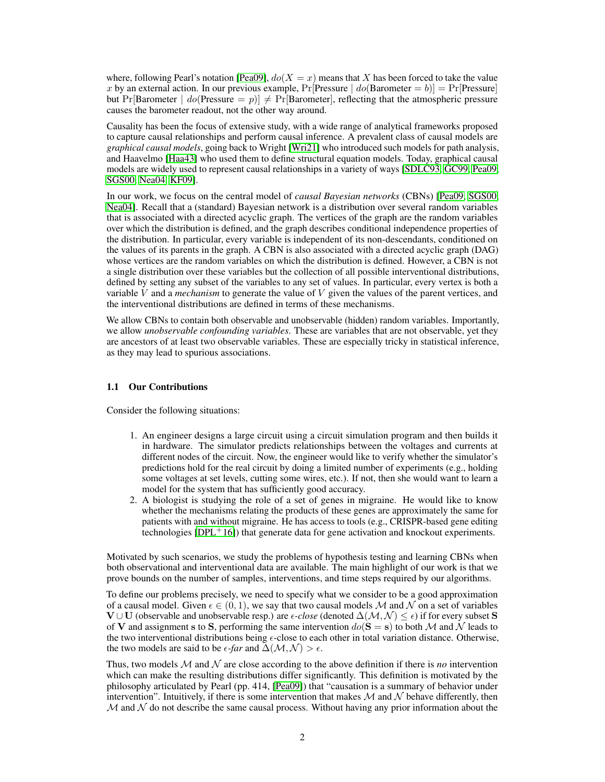where, following Pearl's notation [Pea09],  $dof(X = x)$  means that X has been forced to take the value x by an external action. In our previous example,  $Pr[Pressure | do(Barometer = b)] = Pr[Pressure]$ but Pr[Barometer  $|do(P$ ressure = p)]  $\neq$  Pr[Barometer], reflecting that the atmospheric pressure causes the barometer readout, not the other way around.

Causality has been the focus of extensive study, with a wide range of analytical frameworks proposed to capture causal relationships and perform causal inference. A prevalent class of causal models are *graphical causal models*, going back to Wright [Wri21] who introduced such models for path analysis, and Haavelmo [Haa43] who used them to define structural equation models. Today, graphical causal models are widely used to represent causal relationships in a variety of ways [SDLC93, GC99, Pea09, SGS00, Nea04, KF09].

In our work, we focus on the central model of *causal Bayesian networks* (CBNs) [Pea09, SGS00, Nea04]. Recall that a (standard) Bayesian network is a distribution over several random variables that is associated with a directed acyclic graph. The vertices of the graph are the random variables over which the distribution is defined, and the graph describes conditional independence properties of the distribution. In particular, every variable is independent of its non-descendants, conditioned on the values of its parents in the graph. A CBN is also associated with a directed acyclic graph (DAG) whose vertices are the random variables on which the distribution is defined. However, a CBN is not a single distribution over these variables but the collection of all possible interventional distributions, defined by setting any subset of the variables to any set of values. In particular, every vertex is both a variable V and a *mechanism* to generate the value of V given the values of the parent vertices, and the interventional distributions are defined in terms of these mechanisms.

We allow CBNs to contain both observable and unobservable (hidden) random variables. Importantly, we allow *unobservable confounding variables*. These are variables that are not observable, yet they are ancestors of at least two observable variables. These are especially tricky in statistical inference, as they may lead to spurious associations.

#### 1.1 Our Contributions

Consider the following situations:

- 1. An engineer designs a large circuit using a circuit simulation program and then builds it in hardware. The simulator predicts relationships between the voltages and currents at different nodes of the circuit. Now, the engineer would like to verify whether the simulator's predictions hold for the real circuit by doing a limited number of experiments (e.g., holding some voltages at set levels, cutting some wires, etc.). If not, then she would want to learn a model for the system that has sufficiently good accuracy.
- 2. A biologist is studying the role of a set of genes in migraine. He would like to know whether the mechanisms relating the products of these genes are approximately the same for patients with and without migraine. He has access to tools (e.g., CRISPR-based gene editing technologies  $[DPL+16]$ ) that generate data for gene activation and knockout experiments.

Motivated by such scenarios, we study the problems of hypothesis testing and learning CBNs when both observational and interventional data are available. The main highlight of our work is that we prove bounds on the number of samples, interventions, and time steps required by our algorithms.

To define our problems precisely, we need to specify what we consider to be a good approximation of a causal model. Given  $\epsilon \in (0, 1)$ , we say that two causal models M and N on a set of variables  $V \cup U$  (observable and unobservable resp.) are  $\epsilon$ -close (denoted  $\Delta(\mathcal{M}, \mathcal{N}) \leq \epsilon$ ) if for every subset S of V and assignment s to S, performing the same intervention  $do(S = s)$  to both M and N leads to the two interventional distributions being  $\epsilon$ -close to each other in total variation distance. Otherwise, the two models are said to be  $\epsilon$ -far and  $\Delta(\mathcal{M}, \mathcal{N}) > \epsilon$ .

Thus, two models  $M$  and  $N$  are close according to the above definition if there is *no* intervention which can make the resulting distributions differ significantly. This definition is motivated by the philosophy articulated by Pearl (pp. 414, [Pea09]) that "causation is a summary of behavior under intervention". Intuitively, if there is some intervention that makes  $M$  and  $N$  behave differently, then  $M$  and  $N$  do not describe the same causal process. Without having any prior information about the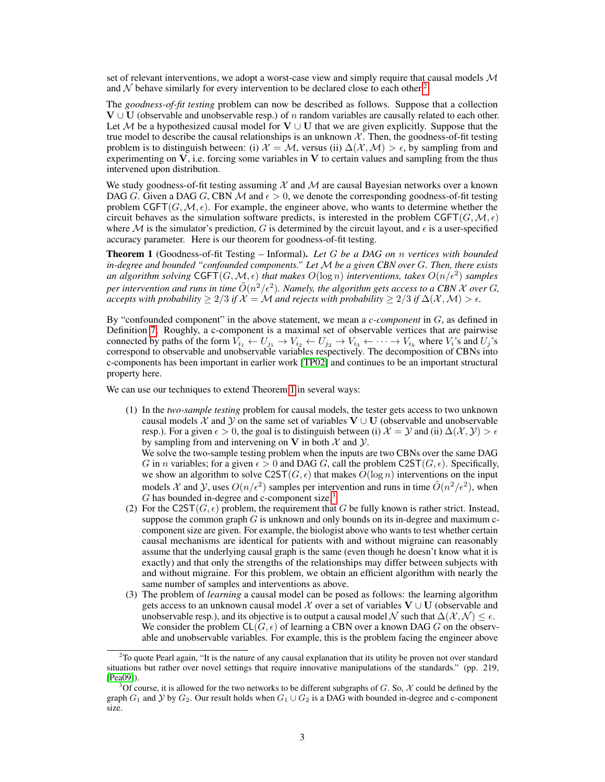set of relevant interventions, we adopt a worst-case view and simply require that causal models  $\mathcal M$ and  $\mathcal N$  behave similarly for every intervention to be declared close to each other.<sup>2</sup>

The *goodness-of-fit testing* problem can now be described as follows. Suppose that a collection  $V \cup U$  (observable and unobservable resp.) of n random variables are causally related to each other. Let  $M$  be a hypothesized causal model for  $V \cup U$  that we are given explicitly. Suppose that the true model to describe the causal relationships is an unknown  $X$ . Then, the goodness-of-fit testing problem is to distinguish between: (i)  $\mathcal{X} = \mathcal{M}$ , versus (ii)  $\Delta(\mathcal{X}, \mathcal{M}) > \epsilon$ , by sampling from and experimenting on  $V$ , i.e. forcing some variables in  $V$  to certain values and sampling from the thus intervened upon distribution.

We study goodness-of-fit testing assuming  $X$  and  $M$  are causal Bayesian networks over a known DAG G. Given a DAG G, CBN M and  $\epsilon > 0$ , we denote the corresponding goodness-of-fit testing problem CGFT( $G, M, \epsilon$ ). For example, the engineer above, who wants to determine whether the circuit behaves as the simulation software predicts, is interested in the problem CGFT( $G, M, \epsilon$ ) where  $M$  is the simulator's prediction, G is determined by the circuit layout, and  $\epsilon$  is a user-specified accuracy parameter. Here is our theorem for goodness-of-fit testing.

Theorem 1 (Goodness-of-fit Testing – Informal). *Let* G *be a DAG on* n *vertices with bounded in-degree and bounded "confounded components." Let* M *be a given CBN over* G*. Then, there exists an algorithm solving*  $\mathsf{CGFT}(G, \mathcal{M}, \epsilon)$  *that makes*  $O(\log n)$  *interventions, takes*  $O(n/\epsilon^2)$  *samples* per intervention and runs in time  $\tilde{O}(n^2/\epsilon^2)$ . Namely, the algorithm gets access to a CBN X over G, *accepts with probability*  $\geq 2/3$  *if*  $\mathcal{X} = \mathcal{M}$  *and rejects with probability*  $\geq 2/3$  *if*  $\Delta(\mathcal{X}, \mathcal{M}) > \epsilon$ .

By "confounded component" in the above statement, we mean a *c-component* in G, as defined in Definition 7. Roughly, a c-component is a maximal set of observable vertices that are pairwise connected by paths of the form  $\bar{V}_{i_1} \leftarrow U_{j_1} \rightarrow V_{i_2} \leftarrow U_{j_2} \rightarrow V_{i_3} \leftarrow \cdots \rightarrow V_{i_k}$  where  $V_i$ 's and  $U_j$ 's correspond to observable and unobservable variables respectively. The decomposition of CBNs into c-components has been important in earlier work [TP02] and continues to be an important structural property here.

We can use our techniques to extend Theorem 1 in several ways:

(1) In the *two-sample testing* problem for causal models, the tester gets access to two unknown causal models X and Y on the same set of variables  $V \cup U$  (observable and unobservable resp.). For a given  $\epsilon > 0$ , the goal is to distinguish between (i)  $\mathcal{X} = \mathcal{Y}$  and (ii)  $\Delta(\mathcal{X}, \mathcal{Y}) > \epsilon$ by sampling from and intervening on V in both  $\mathcal X$  and  $\mathcal Y$ .

We solve the two-sample testing problem when the inputs are two CBNs over the same DAG G in n variables; for a given  $\epsilon > 0$  and DAG G, call the problem C2ST( $G, \epsilon$ ). Specifically, we show an algorithm to solve  $C2ST(G, \epsilon)$  that makes  $O(\log n)$  interventions on the input models X and Y, uses  $O(n/\epsilon^2)$  samples per intervention and runs in time  $\tilde{O}(n^2/\epsilon^2)$ , when G has bounded in-degree and c-component size.<sup>3</sup>

- (2) For the C2ST( $G, \epsilon$ ) problem, the requirement that G be fully known is rather strict. Instead, suppose the common graph  $G$  is unknown and only bounds on its in-degree and maximum ccomponent size are given. For example, the biologist above who wants to test whether certain causal mechanisms are identical for patients with and without migraine can reasonably assume that the underlying causal graph is the same (even though he doesn't know what it is exactly) and that only the strengths of the relationships may differ between subjects with and without migraine. For this problem, we obtain an efficient algorithm with nearly the same number of samples and interventions as above.
- (3) The problem of *learning* a causal model can be posed as follows: the learning algorithm gets access to an unknown causal model X over a set of variables  $V \cup U$  (observable and unobservable resp.), and its objective is to output a causal model N such that  $\Delta(\mathcal{X}, \mathcal{N}) \leq \epsilon$ . We consider the problem  $\mathsf{CL}(G, \epsilon)$  of learning a CBN over a known DAG G on the observable and unobservable variables. For example, this is the problem facing the engineer above

<sup>&</sup>lt;sup>2</sup>To quote Pearl again, "It is the nature of any causal explanation that its utility be proven not over standard situations but rather over novel settings that require innovative manipulations of the standards." (pp. 219, [Pea09]).

<sup>&</sup>lt;sup>3</sup>Of course, it is allowed for the two networks to be different subgraphs of G. So, X could be defined by the graph  $G_1$  and Y by  $G_2$ . Our result holds when  $G_1 \cup G_2$  is a DAG with bounded in-degree and c-component size.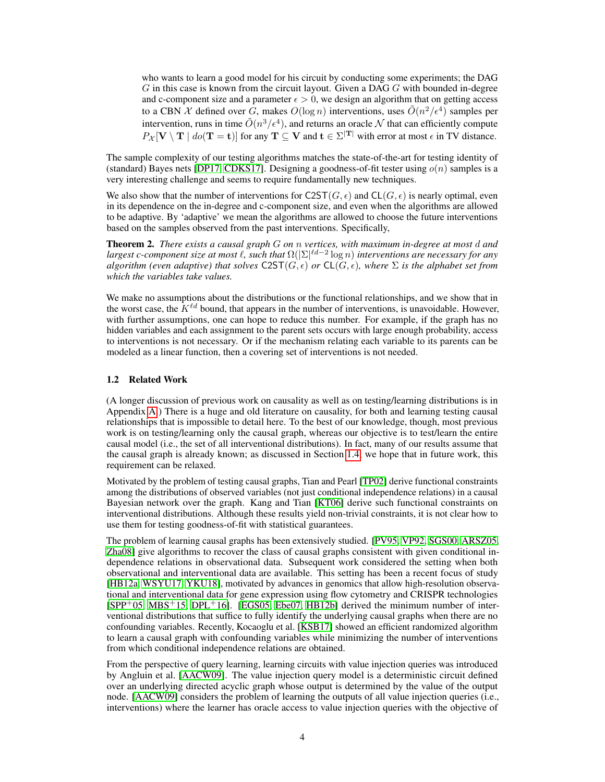who wants to learn a good model for his circuit by conducting some experiments; the DAG  $G$  in this case is known from the circuit layout. Given a DAG  $G$  with bounded in-degree and c-component size and a parameter  $\epsilon > 0$ , we design an algorithm that on getting access to a CBN  $\mathcal X$  defined over  $G$ , makes  $O(\log n)$  interventions, uses  $\tilde O(n^2/\epsilon^4)$  samples per intervention, runs in time  $\tilde{O}(n^3/\epsilon^4)$ , and returns an oracle  $\mathcal N$  that can efficiently compute  $P_{\mathcal{X}}[\mathbf{V} \setminus \mathbf{T} \mid do(\mathbf{T} = \mathbf{t})]$  for any  $\mathbf{T} \subseteq \mathbf{V}$  and  $\mathbf{t} \in \Sigma^{|\mathbf{T}|}$  with error at most  $\epsilon$  in TV distance.

The sample complexity of our testing algorithms matches the state-of-the-art for testing identity of (standard) Bayes nets [DP17, CDKS17]. Designing a goodness-of-fit tester using  $o(n)$  samples is a very interesting challenge and seems to require fundamentally new techniques.

We also show that the number of interventions for  $C2ST(G, \epsilon)$  and  $CL(G, \epsilon)$  is nearly optimal, even in its dependence on the in-degree and c-component size, and even when the algorithms are allowed to be adaptive. By 'adaptive' we mean the algorithms are allowed to choose the future interventions based on the samples observed from the past interventions. Specifically,

Theorem 2. *There exists a causal graph* G *on* n *vertices, with maximum in-degree at most* d *and largest c-component size at most* `*, such that* Ω(|Σ| `d−2 log n) *interventions are necessary for any algorithm (even adaptive) that solves*  $C2ST(G, \epsilon)$  *or*  $CL(G, \epsilon)$ *, where*  $\Sigma$  *is the alphabet set from which the variables take values.*

We make no assumptions about the distributions or the functional relationships, and we show that in the worst case, the  $K^{\ell d}$  bound, that appears in the number of interventions, is unavoidable. However, with further assumptions, one can hope to reduce this number. For example, if the graph has no hidden variables and each assignment to the parent sets occurs with large enough probability, access to interventions is not necessary. Or if the mechanism relating each variable to its parents can be modeled as a linear function, then a covering set of interventions is not needed.

#### 1.2 Related Work

(A longer discussion of previous work on causality as well as on testing/learning distributions is in Appendix A.) There is a huge and old literature on causality, for both and learning testing causal relationships that is impossible to detail here. To the best of our knowledge, though, most previous work is on testing/learning only the causal graph, whereas our objective is to test/learn the entire causal model (i.e., the set of all interventional distributions). In fact, many of our results assume that the causal graph is already known; as discussed in Section 1.4, we hope that in future work, this requirement can be relaxed.

Motivated by the problem of testing causal graphs, Tian and Pearl [TP02] derive functional constraints among the distributions of observed variables (not just conditional independence relations) in a causal Bayesian network over the graph. Kang and Tian [KT06] derive such functional constraints on interventional distributions. Although these results yield non-trivial constraints, it is not clear how to use them for testing goodness-of-fit with statistical guarantees.

The problem of learning causal graphs has been extensively studied. [PV95, VP92, SGS00, ARSZ05, Zha08] give algorithms to recover the class of causal graphs consistent with given conditional independence relations in observational data. Subsequent work considered the setting when both observational and interventional data are available. This setting has been a recent focus of study [HB12a, WSYU17, YKU18], motivated by advances in genomics that allow high-resolution observational and interventional data for gene expression using flow cytometry and CRISPR technologies  $[SPP<sup>+</sup>05, MBS<sup>+</sup>15, DPL<sup>+</sup>16]$ . [EGS05, Ebe07, HB12b] derived the minimum number of interventional distributions that suffice to fully identify the underlying causal graphs when there are no confounding variables. Recently, Kocaoglu et al. [KSB17] showed an efficient randomized algorithm to learn a causal graph with confounding variables while minimizing the number of interventions from which conditional independence relations are obtained.

From the perspective of query learning, learning circuits with value injection queries was introduced by Angluin et al. [AACW09]. The value injection query model is a deterministic circuit defined over an underlying directed acyclic graph whose output is determined by the value of the output node. [AACW09] considers the problem of learning the outputs of all value injection queries (i.e., interventions) where the learner has oracle access to value injection queries with the objective of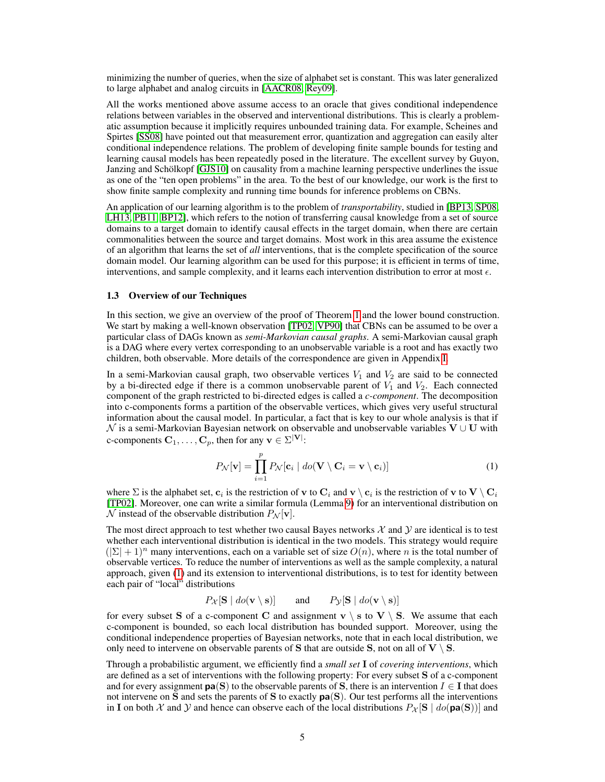minimizing the number of queries, when the size of alphabet set is constant. This was later generalized to large alphabet and analog circuits in [AACR08, Rey09].

All the works mentioned above assume access to an oracle that gives conditional independence relations between variables in the observed and interventional distributions. This is clearly a problematic assumption because it implicitly requires unbounded training data. For example, Scheines and Spirtes [SS08] have pointed out that measurement error, quantization and aggregation can easily alter conditional independence relations. The problem of developing finite sample bounds for testing and learning causal models has been repeatedly posed in the literature. The excellent survey by Guyon, Janzing and Schölkopf [GJS10] on causality from a machine learning perspective underlines the issue as one of the "ten open problems" in the area. To the best of our knowledge, our work is the first to show finite sample complexity and running time bounds for inference problems on CBNs.

An application of our learning algorithm is to the problem of *transportability*, studied in [BP13, SP08, LH13, PB11, BP12], which refers to the notion of transferring causal knowledge from a set of source domains to a target domain to identify causal effects in the target domain, when there are certain commonalities between the source and target domains. Most work in this area assume the existence of an algorithm that learns the set of *all* interventions, that is the complete specification of the source domain model. Our learning algorithm can be used for this purpose; it is efficient in terms of time, interventions, and sample complexity, and it learns each intervention distribution to error at most  $\epsilon$ .

#### 1.3 Overview of our Techniques

In this section, we give an overview of the proof of Theorem 1 and the lower bound construction. We start by making a well-known observation [TP02, VP90] that CBNs can be assumed to be over a particular class of DAGs known as *semi-Markovian causal graphs*. A semi-Markovian causal graph is a DAG where every vertex corresponding to an unobservable variable is a root and has exactly two children, both observable. More details of the correspondence are given in Appendix I.

In a semi-Markovian causal graph, two observable vertices  $V_1$  and  $V_2$  are said to be connected by a bi-directed edge if there is a common unobservable parent of  $V_1$  and  $V_2$ . Each connected component of the graph restricted to bi-directed edges is called a *c-component*. The decomposition into c-components forms a partition of the observable vertices, which gives very useful structural information about the causal model. In particular, a fact that is key to our whole analysis is that if  $\mathcal N$  is a semi-Markovian Bayesian network on observable and unobservable variables  $V \cup U$  with c-components  $C_1, \ldots, C_p$ , then for any  $\mathbf{v} \in \Sigma^{|\mathbf{V}|}$ :

$$
P_{\mathcal{N}}[\mathbf{v}] = \prod_{i=1}^{p} P_{\mathcal{N}}[\mathbf{c}_i \mid do(\mathbf{V} \setminus \mathbf{C}_i = \mathbf{v} \setminus \mathbf{c}_i)] \tag{1}
$$

where  $\Sigma$  is the alphabet set,  $\bf c_i$  is the restriction of  $\bf v$  to  $\bf C_i$  and  $\bf v \setminus \bf c_i$  is the restriction of  $\bf v$  to  $\bf V \setminus \bf C_i$ [TP02]. Moreover, one can write a similar formula (Lemma 9) for an interventional distribution on  $\mathcal N$  instead of the observable distribution  $P_{\mathcal N}[\mathbf v]$ .

The most direct approach to test whether two causal Bayes networks  $\mathcal X$  and  $\mathcal Y$  are identical is to test whether each interventional distribution is identical in the two models. This strategy would require  $(|\Sigma| + 1)^n$  many interventions, each on a variable set of size  $O(n)$ , where n is the total number of observable vertices. To reduce the number of interventions as well as the sample complexity, a natural approach, given (1) and its extension to interventional distributions, is to test for identity between each pair of "local" distributions

 $P_{\mathcal{X}}[\mathbf{S} \mid do(\mathbf{v} \setminus \mathbf{s})]$  and  $P_{\mathcal{Y}}[\mathbf{S} \mid do(\mathbf{v} \setminus \mathbf{s})]$ 

for every subset S of a c-component C and assignment  $v \setminus s$  to  $V \setminus S$ . We assume that each c-component is bounded, so each local distribution has bounded support. Moreover, using the conditional independence properties of Bayesian networks, note that in each local distribution, we only need to intervene on observable parents of S that are outside S, not on all of  $V \setminus S$ .

Through a probabilistic argument, we efficiently find a *small set* I of *covering interventions*, which are defined as a set of interventions with the following property: For every subset S of a c-component and for every assignment  $pa(S)$  to the observable parents of S, there is an intervention  $I \in I$  that does not intervene on S and sets the parents of S to exactly pa(S). Our test performs all the interventions in I on both X and Y and hence can observe each of the local distributions  $P_{\mathcal{X}}[\mathbf{S} | do(\mathbf{pa}(\mathbf{S}))]$  and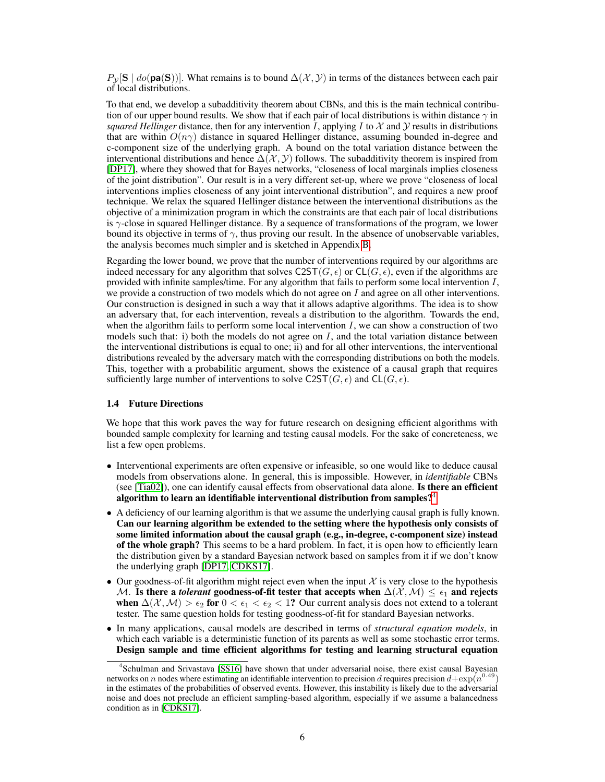$P_{\mathcal{V}}[\mathbf{S} \mid \text{do}(\mathbf{pa}(\mathbf{S}))]$ . What remains is to bound  $\Delta(\mathcal{X}, \mathcal{Y})$  in terms of the distances between each pair of local distributions.

To that end, we develop a subadditivity theorem about CBNs, and this is the main technical contribution of our upper bound results. We show that if each pair of local distributions is within distance  $\gamma$  in *squared Hellinger* distance, then for any intervention I, applying I to  $\mathcal X$  and  $\mathcal Y$  results in distributions that are within  $O(n\gamma)$  distance in squared Hellinger distance, assuming bounded in-degree and c-component size of the underlying graph. A bound on the total variation distance between the interventional distributions and hence  $\Delta(\mathcal{X}, \mathcal{Y})$  follows. The subadditivity theorem is inspired from [DP17], where they showed that for Bayes networks, "closeness of local marginals implies closeness of the joint distribution". Our result is in a very different set-up, where we prove "closeness of local interventions implies closeness of any joint interventional distribution", and requires a new proof technique. We relax the squared Hellinger distance between the interventional distributions as the objective of a minimization program in which the constraints are that each pair of local distributions is  $\gamma$ -close in squared Hellinger distance. By a sequence of transformations of the program, we lower bound its objective in terms of  $\gamma$ , thus proving our result. In the absence of unobservable variables, the analysis becomes much simpler and is sketched in Appendix B.

Regarding the lower bound, we prove that the number of interventions required by our algorithms are indeed necessary for any algorithm that solves  $C2ST(G, \epsilon)$  or  $CL(G, \epsilon)$ , even if the algorithms are provided with infinite samples/time. For any algorithm that fails to perform some local intervention I, we provide a construction of two models which do not agree on  $I$  and agree on all other interventions. Our construction is designed in such a way that it allows adaptive algorithms. The idea is to show an adversary that, for each intervention, reveals a distribution to the algorithm. Towards the end, when the algorithm fails to perform some local intervention  $I$ , we can show a construction of two models such that: i) both the models do not agree on  $I$ , and the total variation distance between the interventional distributions is equal to one; ii) and for all other interventions, the interventional distributions revealed by the adversary match with the corresponding distributions on both the models. This, together with a probabilitic argument, shows the existence of a causal graph that requires sufficiently large number of interventions to solve  $C2ST(G, \epsilon)$  and  $CL(G, \epsilon)$ .

#### 1.4 Future Directions

We hope that this work paves the way for future research on designing efficient algorithms with bounded sample complexity for learning and testing causal models. For the sake of concreteness, we list a few open problems.

- Interventional experiments are often expensive or infeasible, so one would like to deduce causal models from observations alone. In general, this is impossible. However, in *identifiable* CBNs (see [Tia02]), one can identify causal effects from observational data alone. Is there an efficient algorithm to learn an identifiable interventional distribution from samples?<sup>4</sup>
- A deficiency of our learning algorithm is that we assume the underlying causal graph is fully known. Can our learning algorithm be extended to the setting where the hypothesis only consists of some limited information about the causal graph (e.g., in-degree, c-component size) instead of the whole graph? This seems to be a hard problem. In fact, it is open how to efficiently learn the distribution given by a standard Bayesian network based on samples from it if we don't know the underlying graph [DP17, CDKS17].
- Our goodness-of-fit algorithm might reject even when the input  $\mathcal X$  is very close to the hypothesis M. Is there a *tolerant* goodness-of-fit tester that accepts when  $\Delta(\mathcal{X},\mathcal{M}) \leq \epsilon_1$  and rejects when  $\Delta(\mathcal{X},\mathcal{M}) > \epsilon_2$  for  $0 < \epsilon_1 < \epsilon_2 < 1$ ? Our current analysis does not extend to a tolerant tester. The same question holds for testing goodness-of-fit for standard Bayesian networks.
- In many applications, causal models are described in terms of *structural equation models*, in which each variable is a deterministic function of its parents as well as some stochastic error terms. Design sample and time efficient algorithms for testing and learning structural equation

<sup>4</sup> Schulman and Srivastava [SS16] have shown that under adversarial noise, there exist causal Bayesian networks on n nodes where estimating an identifiable intervention to precision d requires precision  $d+\exp(n^{0.49})$ in the estimates of the probabilities of observed events. However, this instability is likely due to the adversarial noise and does not preclude an efficient sampling-based algorithm, especially if we assume a balancedness condition as in [CDKS17].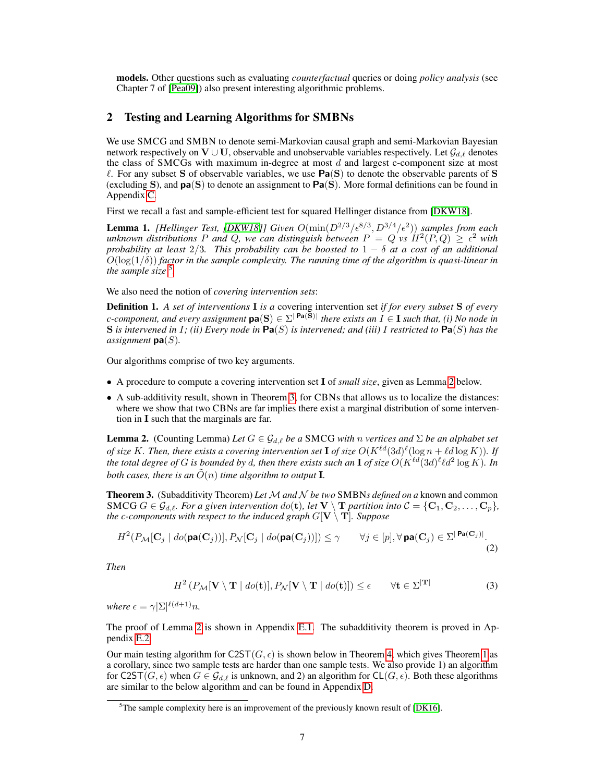models. Other questions such as evaluating *counterfactual* queries or doing *policy analysis* (see Chapter 7 of [Pea09]) also present interesting algorithmic problems.

## 2 Testing and Learning Algorithms for SMBNs

We use SMCG and SMBN to denote semi-Markovian causal graph and semi-Markovian Bayesian network respectively on  $V \cup U$ , observable and unobservable variables respectively. Let  $\mathcal{G}_{d,\ell}$  denotes the class of SMCGs with maximum in-degree at most  $d$  and largest c-component size at most  $\ell$ . For any subset S of observable variables, we use  $Pa(S)$  to denote the observable parents of S (excluding S), and  $pa(S)$  to denote an assignment to  $Pa(S)$ . More formal definitions can be found in Appendix C.

First we recall a fast and sample-efficient test for squared Hellinger distance from [DKW18].

**Lemma 1.** [Hellinger Test, [DKW18]] Given  $O(\min(D^{2/3}/\epsilon^{8/3}, D^{3/4}/\epsilon^2))$  samples from each unknown distributions P and Q, we can distinguish between  $P = Q$  vs  $H^2(P,Q) \geq \epsilon^2$  with *probability at least* 2/3*. This probability can be boosted to* 1 − δ *at a cost of an additional*  $O(\log(1/\delta))$  *factor in the sample complexity. The running time of the algorithm is quasi-linear in the sample size* 5 *.*

We also need the notion of *covering intervention sets*:

Definition 1. *A set of interventions* I *is a* covering intervention set *if for every subset* S *of every c*-component, and every assignment  $pa(S) \in \Sigma^{|\textbf{ Pa}(S)|}$  there exists an  $I \in \textbf{I}$  such that, (i) No node in S *is intervened in* I*; (ii) Every node in* Pa(S) *is intervened; and (iii)* I *restricted to* Pa(S) *has the assignment* pa(S)*.*

Our algorithms comprise of two key arguments.

- A procedure to compute a covering intervention set I of *small size*, given as Lemma 2 below.
- A sub-additivity result, shown in Theorem 3, for CBNs that allows us to localize the distances: where we show that two CBNs are far implies there exist a marginal distribution of some intervention in I such that the marginals are far.

**Lemma 2.** (Counting Lemma) *Let*  $G \in \mathcal{G}_{d,\ell}$  *be a* SMCG *with n vertices and*  $\Sigma$  *be an alphabet set of size* K. Then, there exists a covering intervention set **I** of size  $O(K^{\ell d} (3d)^{\ell} (\log n + \ell d \log K))$ . If the total degree of  $G$  is bounded by  $d$ , then there exists such an  ${\bf I}$  of size  $O(K^{\ell d} (3d)^\ell \ell d^2 \log K)$ . In *both cases, there is an*  $\tilde{O}(n)$  *time algorithm to output* **I**.

**Theorem 3.** (Subadditivity Theorem) Let M and N be two SMBNs defined on a known and common SMCG  $G \in \mathcal{G}_{d,\ell}$ *. For a given intervention*  $do(t)$ *, let*  $V \setminus T$  *partition into*  $\mathcal{C} = \{C_1, C_2, \ldots, C_p\}$ *, the c-components with respect to the induced graph*  $G[V \setminus T]$ *. Suppose* 

$$
H^2(P_{\mathcal{M}}[\mathbf{C}_j \mid \text{do}(\mathbf{pa}(\mathbf{C}_j))], P_{\mathcal{N}}[\mathbf{C}_j \mid \text{do}(\mathbf{pa}(\mathbf{C}_j))]) \le \gamma \qquad \forall j \in [p], \forall \mathbf{pa}(\mathbf{C}_j) \in \Sigma^{|\mathbf{Pa}(\mathbf{C}_j)|}.
$$
\n(2)

*Then*

$$
H^{2}\left(P_{\mathcal{M}}[\mathbf{V}\setminus\mathbf{T} \mid do(\mathbf{t})], P_{\mathcal{N}}[\mathbf{V}\setminus\mathbf{T} \mid do(\mathbf{t})]\right) \leq \epsilon \qquad \forall \mathbf{t} \in \Sigma^{|\mathbf{T}|} \tag{3}
$$

*where*  $\epsilon = \gamma |\Sigma|^{\ell(d+1)} n$ .

The proof of Lemma 2 is shown in Appendix E.1. The subadditivity theorem is proved in Appendix E.2.

Our main testing algorithm for  $C2ST(G, \epsilon)$  is shown below in Theorem 4, which gives Theorem 1 as a corollary, since two sample tests are harder than one sample tests. We also provide 1) an algorithm for C2ST( $G, \epsilon$ ) when  $G \in \mathcal{G}_{d,\ell}$  is unknown, and 2) an algorithm for CL( $G, \epsilon$ ). Both these algorithms are similar to the below algorithm and can be found in Appendix D.

 $5$ The sample complexity here is an improvement of the previously known result of [DK16].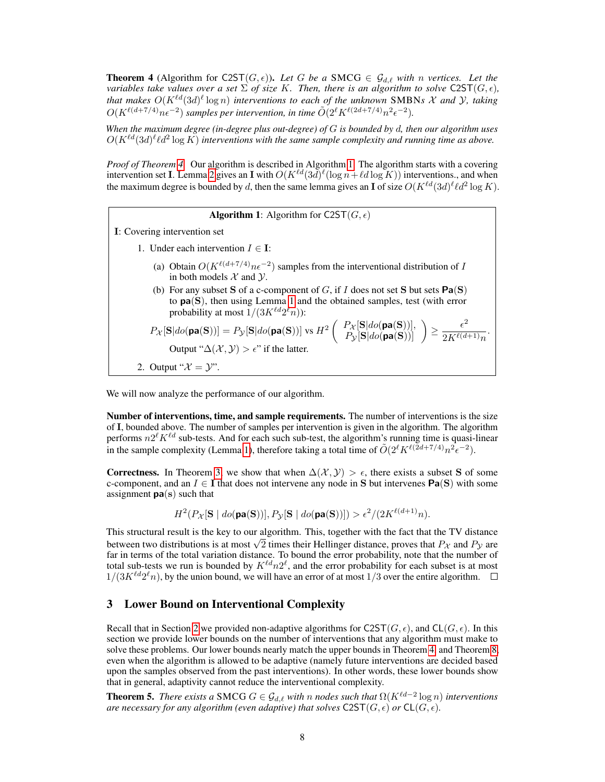**Theorem 4** (Algorithm for C2ST $(G, \epsilon)$ ). Let G be a SMCG  $\in$   $\mathcal{G}_{d,\ell}$  with n vertices. Let the *variables take values over a set*  $\Sigma$  *of size* K*. Then, there is an algorithm to solve* C2ST( $G, \epsilon$ )*,* that makes  $O(K^{\ell d}(3d)^{\ell} \log n)$  interventions to each of the unknown SMBNs X and Y, taking  $O(K^{\ell(d+7/4)}n\epsilon^{-2})$  *samples per intervention, in time*  $\tilde{O}(2^{\ell}K^{\ell(2d+7/4)}n^2\epsilon^{-2})$ .

*When the maximum degree (in-degree plus out-degree) of* G *is bounded by* d*, then our algorithm uses*  $O(K^{\ell d}(3d)^{\ell} \ell d^2 \log K)$  interventions with the same sample complexity and running time as above.

*Proof of Theorem 4.* Our algorithm is described in Algorithm 1. The algorithm starts with a covering intervention set **I**. Lemma 2 gives an **I** with  $O(K^{\ell d}(3d)^{\ell}(\log n+\ell d \log K))$  interventions., and when the maximum degree is bounded by d, then the same lemma gives an **I** of size  $O(K^{\ell d}(3d)^{\ell} \ell d^2 \log K)$ .

**Algorithm 1:** Algorithm for C2ST( $G, \epsilon$ )

I: Covering intervention set

- 1. Under each intervention  $I \in \mathbf{I}$ :
	- (a) Obtain  $O(K^{\ell(d+7/4)}n\epsilon^{-2})$  samples from the interventional distribution of I in both models  $X$  and  $Y$ .
	- (b) For any subset S of a c-component of G, if I does not set S but sets  $Pa(S)$ to pa(S), then using Lemma 1 and the obtained samples, test (with error probability at most  $1/(3K^{\ell d}2^{\ell}n)$ :

 $P_{\mathcal{X}}[\mathbf{S}|do(\mathbf{pa(S)})] = P_{\mathcal{Y}}[\mathbf{S}|do(\mathbf{pa(S)})] \text{ vs } H^2\left( \begin{array}{c} P_{\mathcal{X}}[\mathbf{S}|do(\mathbf{pa(S)})],\ P_{\mathcal{Y}}[\mathbf{S}|do(\mathbf{pa(S)})] \end{array} \right) \geq \frac{\epsilon^2}{2K^{\ell(d)}}$  $\frac{c}{2K^{\ell(d+1)}n}$ . Output " $\Delta(\mathcal{X}, \mathcal{Y}) > \epsilon$ " if the latter. 2. Output " $\mathcal{X} = \mathcal{Y}$ ".

We will now analyze the performance of our algorithm.

Number of interventions, time, and sample requirements. The number of interventions is the size of I, bounded above. The number of samples per intervention is given in the algorithm. The algorithm performs  $n2^{\ell} K^{\ell d}$  sub-tests. And for each such sub-test, the algorithm's running time is quasi-linear in the sample complexity (Lemma 1), therefore taking a total time of  $\tilde{O}(2^{\ell} K^{\ell(2d+7/4)} n^2 \epsilon^{-2})$ .

**Correctness.** In Theorem 3, we show that when  $\Delta(\mathcal{X}, \mathcal{Y}) > \epsilon$ , there exists a subset S of some c-component, and an  $I \in I$  that does not intervene any node in S but intervenes  $Pa(S)$  with some assignment  $pa(s)$  such that

 $H^2(P_{\mathcal{X}}[\mathbf{S} \mid \textit{do}(\mathbf{pa}(\mathbf{S}))], P_{\mathcal{Y}}[\mathbf{S} \mid \textit{do}(\mathbf{pa}(\mathbf{S}))]) > \epsilon^2/(2K^{\ell(d+1)}n).$ 

This structural result is the key to our algorithm. This, together with the fact that the TV distance This structural result is the key to our algorithm. This, together with the fact that the TV distance between two distributions is at most  $\sqrt{2}$  times their Hellinger distance, proves that  $P_X$  and  $P_Y$  are far in terms of the total variation distance. To bound the error probability, note that the number of total sub-tests we run is bounded by  $K^{\ell d} n 2^{\ell}$ , and the error probability for each subset is at most  $1/(3K<sup>l</sup>d2<sup>l</sup>n)$ , by the union bound, we will have an error of at most  $1/3$  over the entire algorithm.

## 3 Lower Bound on Interventional Complexity

Recall that in Section 2 we provided non-adaptive algorithms for C2ST( $G, \epsilon$ ), and CL( $G, \epsilon$ ). In this section we provide lower bounds on the number of interventions that any algorithm must make to solve these problems. Our lower bounds nearly match the upper bounds in Theorem 4, and Theorem 8, even when the algorithm is allowed to be adaptive (namely future interventions are decided based upon the samples observed from the past interventions). In other words, these lower bounds show that in general, adaptivity cannot reduce the interventional complexity.

**Theorem 5.** *There exists a* SMCG  $G \in \mathcal{G}_{d,\ell}$  *with* n nodes such that  $\Omega(K^{\ell d-2} \log n)$  interventions *are necessary for any algorithm (even adaptive) that solves*  $C2ST(G, \epsilon)$  *or*  $CL(G, \epsilon)$ *.*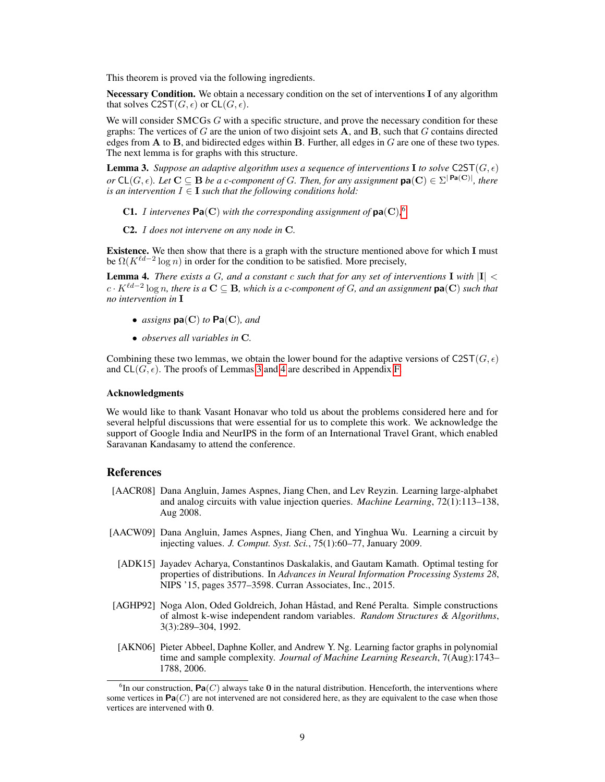This theorem is proved via the following ingredients.

Necessary Condition. We obtain a necessary condition on the set of interventions I of any algorithm that solves  $C2ST(G, \epsilon)$  or  $CL(G, \epsilon)$ .

We will consider SMCGs  $G$  with a specific structure, and prove the necessary condition for these graphs: The vertices of G are the union of two disjoint sets  $\overline{A}$ , and  $\overline{B}$ , such that G contains directed edges from  $A$  to  $B$ , and bidirected edges within  $B$ . Further, all edges in  $G$  are one of these two types. The next lemma is for graphs with this structure.

**Lemma 3.** *Suppose an adaptive algorithm uses a sequence of interventions* **I** *to solve*  $C2ST(G, \epsilon)$ *or*  $\mathsf{CL}(G, \epsilon)$ *. Let*  $\mathbf{C} \subseteq \mathbf{B}$  *be a c-component of G. Then, for any assignment*  $\mathsf{pa}(\mathbf{C}) \in \Sigma^{|\mathbf{Pa}(\mathbf{C})|}$ *, there is an intervention*  $I \in \mathbf{I}$  *such that the following conditions hold:* 

- **C1.** I intervenes  $\textsf{Pa}(\textbf{C})$  with the corresponding assignment of  $\textsf{pa}(\textbf{C})$ , <sup>6</sup>
- C2. I *does not intervene on any node in* C*.*

Existence. We then show that there is a graph with the structure mentioned above for which I must be  $\Omega(K^{\ell d-2} \log n)$  in order for the condition to be satisfied. More precisely,

**Lemma 4.** *There exists a G, and a constant c such that for any set of interventions*  $\bf{I}$  *with*  $|\bf{I}|$  < c · K`d−<sup>2</sup> log n*, there is a* C ⊆ B*, which is a c-component of* G*, and an assignment* pa(C) *such that no intervention in* I

- *assigns* pa(C) *to* Pa(C)*, and*
- *observes all variables in* C*.*

Combining these two lemmas, we obtain the lower bound for the adaptive versions of C2ST( $G, \epsilon$ ) and  $CL(G, \epsilon)$ . The proofs of Lemmas 3 and 4 are described in Appendix F.

#### Acknowledgments

We would like to thank Vasant Honavar who told us about the problems considered here and for several helpful discussions that were essential for us to complete this work. We acknowledge the support of Google India and NeurIPS in the form of an International Travel Grant, which enabled Saravanan Kandasamy to attend the conference.

#### References

- [AACR08] Dana Angluin, James Aspnes, Jiang Chen, and Lev Reyzin. Learning large-alphabet and analog circuits with value injection queries. *Machine Learning*, 72(1):113–138, Aug 2008.
- [AACW09] Dana Angluin, James Aspnes, Jiang Chen, and Yinghua Wu. Learning a circuit by injecting values. *J. Comput. Syst. Sci.*, 75(1):60–77, January 2009.
	- [ADK15] Jayadev Acharya, Constantinos Daskalakis, and Gautam Kamath. Optimal testing for properties of distributions. In *Advances in Neural Information Processing Systems 28*, NIPS '15, pages 3577–3598. Curran Associates, Inc., 2015.
- [AGHP92] Noga Alon, Oded Goldreich, Johan Håstad, and René Peralta. Simple constructions of almost k-wise independent random variables. *Random Structures & Algorithms*, 3(3):289–304, 1992.
- [AKN06] Pieter Abbeel, Daphne Koller, and Andrew Y. Ng. Learning factor graphs in polynomial time and sample complexity. *Journal of Machine Learning Research*, 7(Aug):1743– 1788, 2006.

 ${}^6$ In our construction, Pa $(C)$  always take 0 in the natural distribution. Henceforth, the interventions where some vertices in  $Pa(C)$  are not intervened are not considered here, as they are equivalent to the case when those vertices are intervened with 0.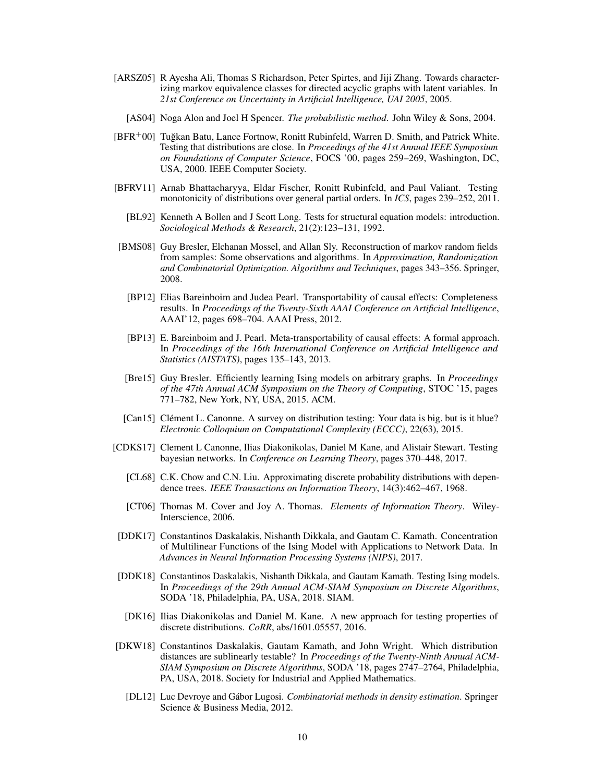- [ARSZ05] R Ayesha Ali, Thomas S Richardson, Peter Spirtes, and Jiji Zhang. Towards characterizing markov equivalence classes for directed acyclic graphs with latent variables. In *21st Conference on Uncertainty in Artificial Intelligence, UAI 2005*, 2005.
	- [AS04] Noga Alon and Joel H Spencer. *The probabilistic method*. John Wiley & Sons, 2004.
- [BFR+00] Tuğkan Batu, Lance Fortnow, Ronitt Rubinfeld, Warren D. Smith, and Patrick White. Testing that distributions are close. In *Proceedings of the 41st Annual IEEE Symposium on Foundations of Computer Science*, FOCS '00, pages 259–269, Washington, DC, USA, 2000. IEEE Computer Society.
- [BFRV11] Arnab Bhattacharyya, Eldar Fischer, Ronitt Rubinfeld, and Paul Valiant. Testing monotonicity of distributions over general partial orders. In *ICS*, pages 239–252, 2011.
	- [BL92] Kenneth A Bollen and J Scott Long. Tests for structural equation models: introduction. *Sociological Methods & Research*, 21(2):123–131, 1992.
- [BMS08] Guy Bresler, Elchanan Mossel, and Allan Sly. Reconstruction of markov random fields from samples: Some observations and algorithms. In *Approximation, Randomization and Combinatorial Optimization. Algorithms and Techniques*, pages 343–356. Springer, 2008.
	- [BP12] Elias Bareinboim and Judea Pearl. Transportability of causal effects: Completeness results. In *Proceedings of the Twenty-Sixth AAAI Conference on Artificial Intelligence*, AAAI'12, pages 698–704. AAAI Press, 2012.
	- [BP13] E. Bareinboim and J. Pearl. Meta-transportability of causal effects: A formal approach. In *Proceedings of the 16th International Conference on Artificial Intelligence and Statistics (AISTATS)*, pages 135–143, 2013.
	- [Bre15] Guy Bresler. Efficiently learning Ising models on arbitrary graphs. In *Proceedings of the 47th Annual ACM Symposium on the Theory of Computing*, STOC '15, pages 771–782, New York, NY, USA, 2015. ACM.
- [Can15] Clément L. Canonne. A survey on distribution testing: Your data is big. but is it blue? *Electronic Colloquium on Computational Complexity (ECCC)*, 22(63), 2015.
- [CDKS17] Clement L Canonne, Ilias Diakonikolas, Daniel M Kane, and Alistair Stewart. Testing bayesian networks. In *Conference on Learning Theory*, pages 370–448, 2017.
	- [CL68] C.K. Chow and C.N. Liu. Approximating discrete probability distributions with dependence trees. *IEEE Transactions on Information Theory*, 14(3):462–467, 1968.
	- [CT06] Thomas M. Cover and Joy A. Thomas. *Elements of Information Theory*. Wiley-Interscience, 2006.
- [DDK17] Constantinos Daskalakis, Nishanth Dikkala, and Gautam C. Kamath. Concentration of Multilinear Functions of the Ising Model with Applications to Network Data. In *Advances in Neural Information Processing Systems (NIPS)*, 2017.
- [DDK18] Constantinos Daskalakis, Nishanth Dikkala, and Gautam Kamath. Testing Ising models. In *Proceedings of the 29th Annual ACM-SIAM Symposium on Discrete Algorithms*, SODA '18, Philadelphia, PA, USA, 2018. SIAM.
- [DK16] Ilias Diakonikolas and Daniel M. Kane. A new approach for testing properties of discrete distributions. *CoRR*, abs/1601.05557, 2016.
- [DKW18] Constantinos Daskalakis, Gautam Kamath, and John Wright. Which distribution distances are sublinearly testable? In *Proceedings of the Twenty-Ninth Annual ACM-SIAM Symposium on Discrete Algorithms*, SODA '18, pages 2747–2764, Philadelphia, PA, USA, 2018. Society for Industrial and Applied Mathematics.
	- [DL12] Luc Devroye and Gábor Lugosi. *Combinatorial methods in density estimation*. Springer Science & Business Media, 2012.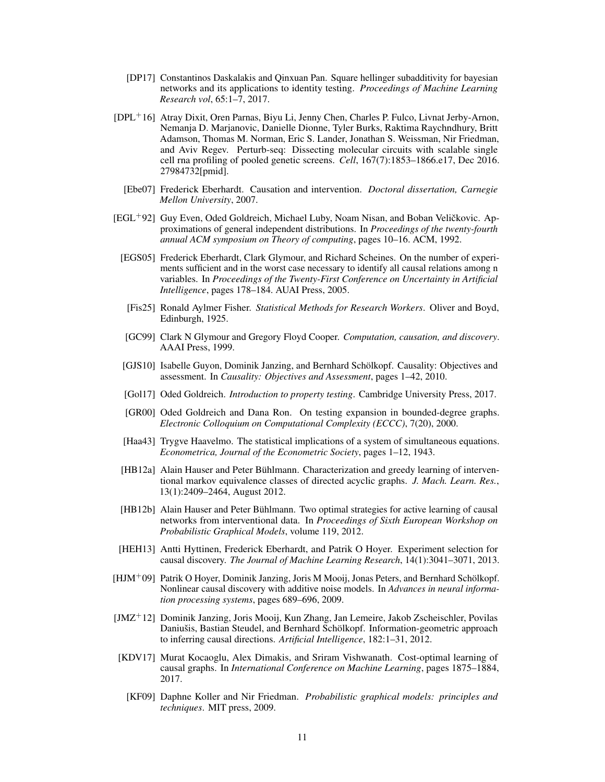- [DP17] Constantinos Daskalakis and Qinxuan Pan. Square hellinger subadditivity for bayesian networks and its applications to identity testing. *Proceedings of Machine Learning Research vol*, 65:1–7, 2017.
- [DPL+16] Atray Dixit, Oren Parnas, Biyu Li, Jenny Chen, Charles P. Fulco, Livnat Jerby-Arnon, Nemanja D. Marjanovic, Danielle Dionne, Tyler Burks, Raktima Raychndhury, Britt Adamson, Thomas M. Norman, Eric S. Lander, Jonathan S. Weissman, Nir Friedman, and Aviv Regev. Perturb-seq: Dissecting molecular circuits with scalable single cell rna profiling of pooled genetic screens. *Cell*, 167(7):1853–1866.e17, Dec 2016. 27984732[pmid].
	- [Ebe07] Frederick Eberhardt. Causation and intervention. *Doctoral dissertation, Carnegie Mellon University*, 2007.
- [EGL<sup>+</sup>92] Guy Even, Oded Goldreich, Michael Luby, Noam Nisan, and Boban Veličkovic. Approximations of general independent distributions. In *Proceedings of the twenty-fourth annual ACM symposium on Theory of computing*, pages 10–16. ACM, 1992.
	- [EGS05] Frederick Eberhardt, Clark Glymour, and Richard Scheines. On the number of experiments sufficient and in the worst case necessary to identify all causal relations among n variables. In *Proceedings of the Twenty-First Conference on Uncertainty in Artificial Intelligence*, pages 178–184. AUAI Press, 2005.
	- [Fis25] Ronald Aylmer Fisher. *Statistical Methods for Research Workers*. Oliver and Boyd, Edinburgh, 1925.
	- [GC99] Clark N Glymour and Gregory Floyd Cooper. *Computation, causation, and discovery*. AAAI Press, 1999.
	- [GJS10] Isabelle Guyon, Dominik Janzing, and Bernhard Schölkopf. Causality: Objectives and assessment. In *Causality: Objectives and Assessment*, pages 1–42, 2010.
	- [Gol17] Oded Goldreich. *Introduction to property testing*. Cambridge University Press, 2017.
	- [GR00] Oded Goldreich and Dana Ron. On testing expansion in bounded-degree graphs. *Electronic Colloquium on Computational Complexity (ECCC)*, 7(20), 2000.
	- [Haa43] Trygve Haavelmo. The statistical implications of a system of simultaneous equations. *Econometrica, Journal of the Econometric Society*, pages 1–12, 1943.
	- [HB12a] Alain Hauser and Peter Bühlmann. Characterization and greedy learning of interventional markov equivalence classes of directed acyclic graphs. *J. Mach. Learn. Res.*, 13(1):2409–2464, August 2012.
	- [HB12b] Alain Hauser and Peter Bühlmann. Two optimal strategies for active learning of causal networks from interventional data. In *Proceedings of Sixth European Workshop on Probabilistic Graphical Models*, volume 119, 2012.
- [HEH13] Antti Hyttinen, Frederick Eberhardt, and Patrik O Hoyer. Experiment selection for causal discovery. *The Journal of Machine Learning Research*, 14(1):3041–3071, 2013.
- [HJM<sup>+</sup>09] Patrik O Hoyer, Dominik Janzing, Joris M Mooij, Jonas Peters, and Bernhard Schölkopf. Nonlinear causal discovery with additive noise models. In *Advances in neural information processing systems*, pages 689–696, 2009.
- [JMZ<sup>+</sup>12] Dominik Janzing, Joris Mooij, Kun Zhang, Jan Lemeire, Jakob Zscheischler, Povilas Daniušis, Bastian Steudel, and Bernhard Schölkopf. Information-geometric approach to inferring causal directions. *Artificial Intelligence*, 182:1–31, 2012.
- [KDV17] Murat Kocaoglu, Alex Dimakis, and Sriram Vishwanath. Cost-optimal learning of causal graphs. In *International Conference on Machine Learning*, pages 1875–1884, 2017.
	- [KF09] Daphne Koller and Nir Friedman. *Probabilistic graphical models: principles and techniques*. MIT press, 2009.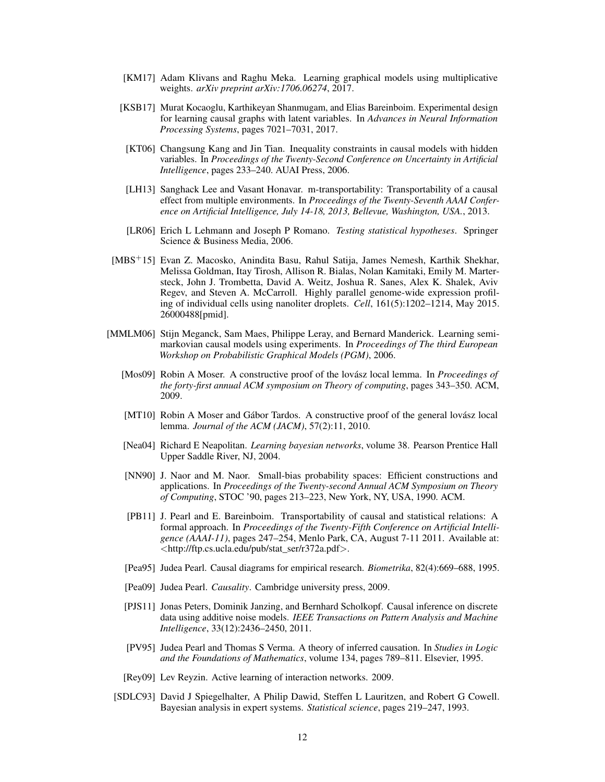- [KM17] Adam Klivans and Raghu Meka. Learning graphical models using multiplicative weights. *arXiv preprint arXiv:1706.06274*, 2017.
- [KSB17] Murat Kocaoglu, Karthikeyan Shanmugam, and Elias Bareinboim. Experimental design for learning causal graphs with latent variables. In *Advances in Neural Information Processing Systems*, pages 7021–7031, 2017.
- [KT06] Changsung Kang and Jin Tian. Inequality constraints in causal models with hidden variables. In *Proceedings of the Twenty-Second Conference on Uncertainty in Artificial Intelligence*, pages 233–240. AUAI Press, 2006.
- [LH13] Sanghack Lee and Vasant Honavar. m-transportability: Transportability of a causal effect from multiple environments. In *Proceedings of the Twenty-Seventh AAAI Conference on Artificial Intelligence, July 14-18, 2013, Bellevue, Washington, USA.*, 2013.
- [LR06] Erich L Lehmann and Joseph P Romano. *Testing statistical hypotheses*. Springer Science & Business Media, 2006.
- [MBS+15] Evan Z. Macosko, Anindita Basu, Rahul Satija, James Nemesh, Karthik Shekhar, Melissa Goldman, Itay Tirosh, Allison R. Bialas, Nolan Kamitaki, Emily M. Martersteck, John J. Trombetta, David A. Weitz, Joshua R. Sanes, Alex K. Shalek, Aviv Regev, and Steven A. McCarroll. Highly parallel genome-wide expression profiling of individual cells using nanoliter droplets. *Cell*, 161(5):1202–1214, May 2015. 26000488[pmid].
- [MMLM06] Stijn Meganck, Sam Maes, Philippe Leray, and Bernard Manderick. Learning semimarkovian causal models using experiments. In *Proceedings of The third European Workshop on Probabilistic Graphical Models (PGM)*, 2006.
	- [Mos09] Robin A Moser. A constructive proof of the lovász local lemma. In *Proceedings of the forty-first annual ACM symposium on Theory of computing*, pages 343–350. ACM, 2009.
	- [MT10] Robin A Moser and Gábor Tardos. A constructive proof of the general lovász local lemma. *Journal of the ACM (JACM)*, 57(2):11, 2010.
	- [Nea04] Richard E Neapolitan. *Learning bayesian networks*, volume 38. Pearson Prentice Hall Upper Saddle River, NJ, 2004.
	- [NN90] J. Naor and M. Naor. Small-bias probability spaces: Efficient constructions and applications. In *Proceedings of the Twenty-second Annual ACM Symposium on Theory of Computing*, STOC '90, pages 213–223, New York, NY, USA, 1990. ACM.
	- [PB11] J. Pearl and E. Bareinboim. Transportability of causal and statistical relations: A formal approach. In *Proceedings of the Twenty-Fifth Conference on Artificial Intelligence (AAAI-11)*, pages 247–254, Menlo Park, CA, August 7-11 2011. Available at: <http://ftp.cs.ucla.edu/pub/stat\_ser/r372a.pdf>.
	- [Pea95] Judea Pearl. Causal diagrams for empirical research. *Biometrika*, 82(4):669–688, 1995.
	- [Pea09] Judea Pearl. *Causality*. Cambridge university press, 2009.
	- [PJS11] Jonas Peters, Dominik Janzing, and Bernhard Scholkopf. Causal inference on discrete data using additive noise models. *IEEE Transactions on Pattern Analysis and Machine Intelligence*, 33(12):2436–2450, 2011.
	- [PV95] Judea Pearl and Thomas S Verma. A theory of inferred causation. In *Studies in Logic and the Foundations of Mathematics*, volume 134, pages 789–811. Elsevier, 1995.
	- [Rey09] Lev Reyzin. Active learning of interaction networks. 2009.
	- [SDLC93] David J Spiegelhalter, A Philip Dawid, Steffen L Lauritzen, and Robert G Cowell. Bayesian analysis in expert systems. *Statistical science*, pages 219–247, 1993.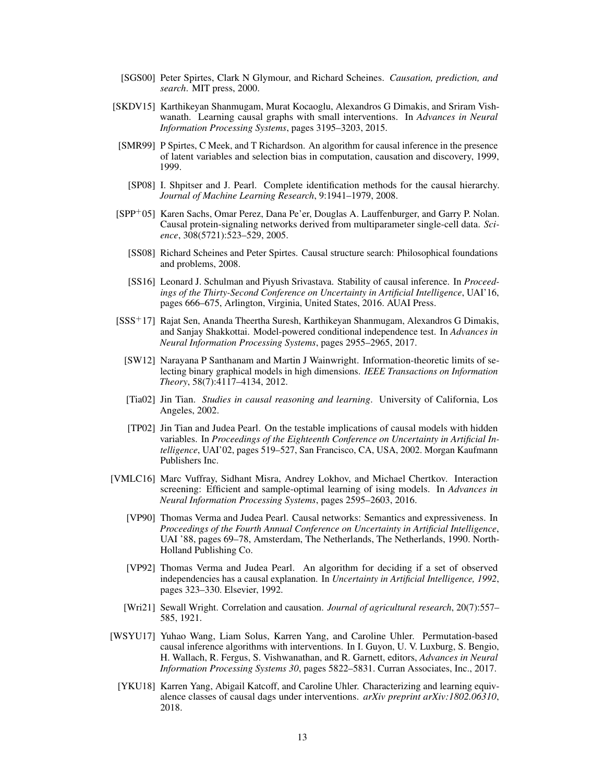- [SGS00] Peter Spirtes, Clark N Glymour, and Richard Scheines. *Causation, prediction, and search*. MIT press, 2000.
- [SKDV15] Karthikeyan Shanmugam, Murat Kocaoglu, Alexandros G Dimakis, and Sriram Vishwanath. Learning causal graphs with small interventions. In *Advances in Neural Information Processing Systems*, pages 3195–3203, 2015.
- [SMR99] P Spirtes, C Meek, and T Richardson. An algorithm for causal inference in the presence of latent variables and selection bias in computation, causation and discovery, 1999, 1999.
- [SP08] I. Shpitser and J. Pearl. Complete identification methods for the causal hierarchy. *Journal of Machine Learning Research*, 9:1941–1979, 2008.
- [SPP+05] Karen Sachs, Omar Perez, Dana Pe'er, Douglas A. Lauffenburger, and Garry P. Nolan. Causal protein-signaling networks derived from multiparameter single-cell data. *Science*, 308(5721):523–529, 2005.
	- [SS08] Richard Scheines and Peter Spirtes. Causal structure search: Philosophical foundations and problems, 2008.
	- [SS16] Leonard J. Schulman and Piyush Srivastava. Stability of causal inference. In *Proceedings of the Thirty-Second Conference on Uncertainty in Artificial Intelligence*, UAI'16, pages 666–675, Arlington, Virginia, United States, 2016. AUAI Press.
- [SSS<sup>+</sup>17] Rajat Sen, Ananda Theertha Suresh, Karthikeyan Shanmugam, Alexandros G Dimakis, and Sanjay Shakkottai. Model-powered conditional independence test. In *Advances in Neural Information Processing Systems*, pages 2955–2965, 2017.
	- [SW12] Narayana P Santhanam and Martin J Wainwright. Information-theoretic limits of selecting binary graphical models in high dimensions. *IEEE Transactions on Information Theory*, 58(7):4117–4134, 2012.
	- [Tia02] Jin Tian. *Studies in causal reasoning and learning*. University of California, Los Angeles, 2002.
	- [TP02] Jin Tian and Judea Pearl. On the testable implications of causal models with hidden variables. In *Proceedings of the Eighteenth Conference on Uncertainty in Artificial Intelligence*, UAI'02, pages 519–527, San Francisco, CA, USA, 2002. Morgan Kaufmann Publishers Inc.
- [VMLC16] Marc Vuffray, Sidhant Misra, Andrey Lokhov, and Michael Chertkov. Interaction screening: Efficient and sample-optimal learning of ising models. In *Advances in Neural Information Processing Systems*, pages 2595–2603, 2016.
	- [VP90] Thomas Verma and Judea Pearl. Causal networks: Semantics and expressiveness. In *Proceedings of the Fourth Annual Conference on Uncertainty in Artificial Intelligence*, UAI '88, pages 69–78, Amsterdam, The Netherlands, The Netherlands, 1990. North-Holland Publishing Co.
	- [VP92] Thomas Verma and Judea Pearl. An algorithm for deciding if a set of observed independencies has a causal explanation. In *Uncertainty in Artificial Intelligence, 1992*, pages 323–330. Elsevier, 1992.
	- [Wri21] Sewall Wright. Correlation and causation. *Journal of agricultural research*, 20(7):557– 585, 1921.
- [WSYU17] Yuhao Wang, Liam Solus, Karren Yang, and Caroline Uhler. Permutation-based causal inference algorithms with interventions. In I. Guyon, U. V. Luxburg, S. Bengio, H. Wallach, R. Fergus, S. Vishwanathan, and R. Garnett, editors, *Advances in Neural Information Processing Systems 30*, pages 5822–5831. Curran Associates, Inc., 2017.
	- [YKU18] Karren Yang, Abigail Katcoff, and Caroline Uhler. Characterizing and learning equivalence classes of causal dags under interventions. *arXiv preprint arXiv:1802.06310*, 2018.